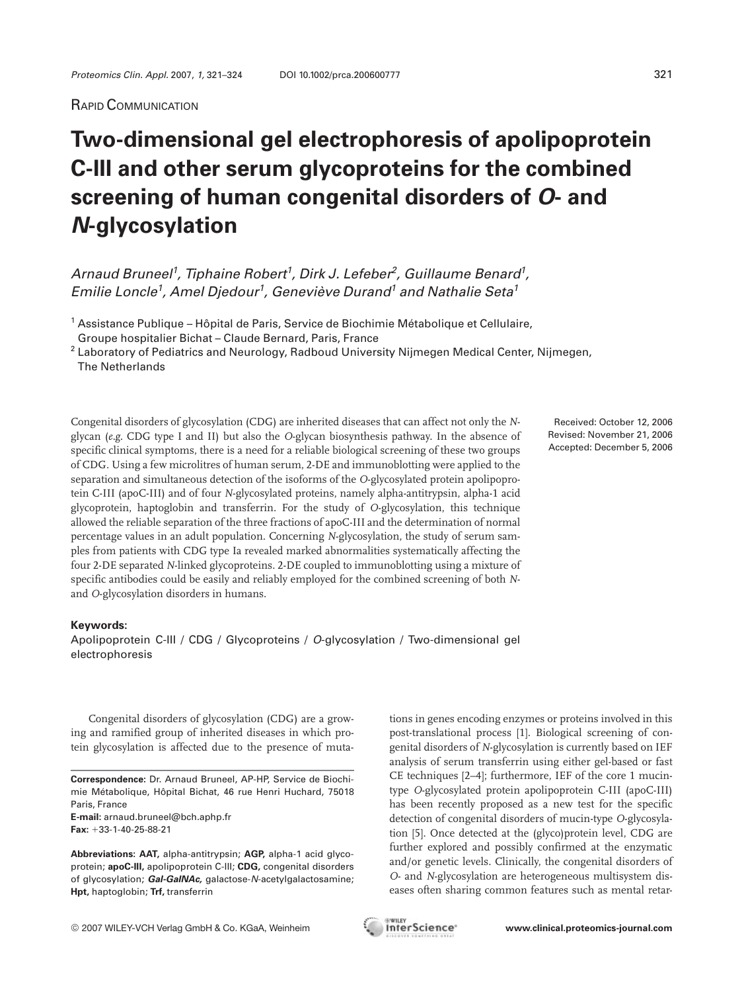## RAPID COMMUNICATION

## **Two-dimensional gel electrophoresis of apolipoprotein C-III and other serum glycoproteins for the combined screening of human congenital disorders of** *O***- and** *N***-glycosylation**

Arnaud Bruneel<sup>1</sup>, Tiphaine Robert<sup>1</sup>, Dirk J. Lefeber<sup>2</sup>, Guillaume Benard<sup>1</sup>, Emilie Loncle<sup>1</sup>, Amel Djedour<sup>1</sup>, Geneviève Durand<sup>1</sup> and Nathalie Seta<sup>1</sup>

<sup>1</sup> Assistance Publique – Hôpital de Paris, Service de Biochimie Métabolique et Cellulaire, Groupe hospitalier Bichat – Claude Bernard, Paris, France

<sup>2</sup> Laboratory of Pediatrics and Neurology, Radboud University Nijmegen Medical Center, Nijmegen, The Netherlands

Congenital disorders of glycosylation (CDG) are inherited diseases that can affect not only the *N*glycan (*e.g.* CDG type I and II) but also the *O*-glycan biosynthesis pathway. In the absence of specific clinical symptoms, there is a need for a reliable biological screening of these two groups of CDG. Using a few microlitres of human serum, 2-DE and immunoblotting were applied to the separation and simultaneous detection of the isoforms of the *O*-glycosylated protein apolipoprotein C-III (apoC-III) and of four *N*-glycosylated proteins, namely alpha-antitrypsin, alpha-1 acid glycoprotein, haptoglobin and transferrin. For the study of *O*-glycosylation, this technique allowed the reliable separation of the three fractions of apoC-III and the determination of normal percentage values in an adult population. Concerning *N*-glycosylation, the study of serum samples from patients with CDG type Ia revealed marked abnormalities systematically affecting the four 2-DE separated *N*-linked glycoproteins. 2-DE coupled to immunoblotting using a mixture of specific antibodies could be easily and reliably employed for the combined screening of both *N*and *O*-glycosylation disorders in humans.

## **Keywords:**

Apolipoprotein C-III / CDG / Glycoproteins / O-glycosylation / Two-dimensional gel electrophoresis

Congenital disorders of glycosylation (CDG) are a growing and ramified group of inherited diseases in which protein glycosylation is affected due to the presence of muta-

**Correspondence:** Dr. Arnaud Bruneel, AP-HP, Service de Biochimie Métabolique, Hôpital Bichat, 46 rue Henri Huchard, 75018 Paris, France

**E-mail:** arnaud.bruneel@bch.aphp.fr Fax: +33-1-40-25-88-21

Received: October 12, 2006 Revised: November 21, 2006 Accepted: December 5, 2006

tions in genes encoding enzymes or proteins involved in this post-translational process [1]. Biological screening of congenital disorders of *N*-glycosylation is currently based on IEF analysis of serum transferrin using either gel-based or fast CE techniques [2–4]; furthermore, IEF of the core 1 mucintype *O*-glycosylated protein apolipoprotein C-III (apoC-III) has been recently proposed as a new test for the specific detection of congenital disorders of mucin-type *O*-glycosylation [5]. Once detected at the (glyco)protein level, CDG are further explored and possibly confirmed at the enzymatic and/or genetic levels. Clinically, the congenital disorders of *O*- and *N*-glycosylation are heterogeneous multisystem diseases often sharing common features such as mental retar-



**Abbreviations: AAT,** alpha-antitrypsin; **AGP,** alpha-1 acid glycoprotein; **apoC-III,** apolipoprotein C-III; **CDG,** congenital disorders of glycosylation; *Gal-GaINAc,* galactose-N-acetylgalactosamine; **Hpt,** haptoglobin; **Trf,** transferrin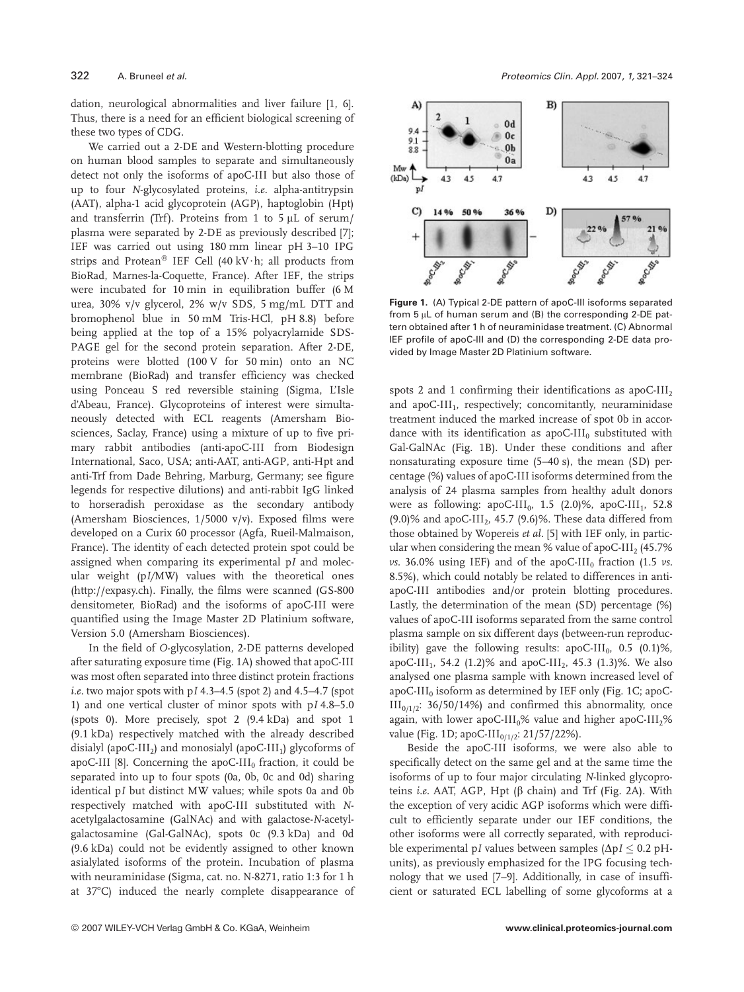dation, neurological abnormalities and liver failure [1, 6]. Thus, there is a need for an efficient biological screening of these two types of CDG.

We carried out a 2-DE and Western-blotting procedure on human blood samples to separate and simultaneously detect not only the isoforms of apoC-III but also those of up to four *N*-glycosylated proteins, *i.e.* alpha-antitrypsin (AAT), alpha-1 acid glycoprotein (AGP), haptoglobin (Hpt) and transferrin (Trf). Proteins from 1 to 5  $\mu$ L of serum/ plasma were separated by 2-DE as previously described [7]; IEF was carried out using 180 mm linear pH 3–10 IPG strips and Protean® IEF Cell (40 kV $\cdot$ h; all products from BioRad, Marnes-la-Coquette, France). After IEF, the strips were incubated for 10 min in equilibration buffer (6 M urea, 30% v/v glycerol, 2% w/v SDS, 5 mg/mL DTT and bromophenol blue in 50 mM Tris-HCl, pH 8.8) before being applied at the top of a 15% polyacrylamide SDS-PAGE gel for the second protein separation. After 2-DE, proteins were blotted (100 V for 50 min) onto an NC membrane (BioRad) and transfer efficiency was checked using Ponceau S red reversible staining (Sigma, L'Isle d'Abeau, France). Glycoproteins of interest were simultaneously detected with ECL reagents (Amersham Biosciences, Saclay, France) using a mixture of up to five primary rabbit antibodies (anti-apoC-III from Biodesign International, Saco, USA; anti-AAT, anti-AGP, anti-Hpt and anti-Trf from Dade Behring, Marburg, Germany; see figure legends for respective dilutions) and anti-rabbit IgG linked to horseradish peroxidase as the secondary antibody (Amersham Biosciences, 1/5000 v/v). Exposed films were developed on a Curix 60 processor (Agfa, Rueil-Malmaison, France). The identity of each detected protein spot could be assigned when comparing its experimental p*I* and molecular weight (p*I/*MW) values with the theoretical ones (http://expasy.ch). Finally, the films were scanned (GS-800 densitometer, BioRad) and the isoforms of apoC-III were quantified using the Image Master 2D Platinium software, Version 5.0 (Amersham Biosciences).

In the field of *O*-glycosylation, 2-DE patterns developed after saturating exposure time (Fig. 1A) showed that apoC-III was most often separated into three distinct protein fractions *i.e.* two major spots with p*I* 4.3–4.5 (spot 2) and 4.5–4.7 (spot 1) and one vertical cluster of minor spots with p*I* 4.8–5.0 (spots 0). More precisely, spot 2 (9.4 kDa) and spot 1 (9.1 kDa) respectively matched with the already described disialyl (apoC-III<sub>2</sub>) and monosialyl (apoC-III<sub>1</sub>) glycoforms of apoC-III [8]. Concerning the apoC-III<sub>0</sub> fraction, it could be separated into up to four spots (0a, 0b, 0c and 0d) sharing identical p*I* but distinct MW values; while spots 0a and 0b respectively matched with apoC-III substituted with *N*acetylgalactosamine (GalNAc) and with galactose-*N*-acetylgalactosamine (Gal-GalNAc), spots 0c (9.3 kDa) and 0d (9.6 kDa) could not be evidently assigned to other known asialylated isoforms of the protein. Incubation of plasma with neuraminidase (Sigma, cat. no. N-8271, ratio 1:3 for 1 h at 37*7*C) induced the nearly complete disappearance of



**Figure 1.** (A) Typical 2-DE pattern of apoC-III isoforms separated from 5  $\mu$ L of human serum and (B) the corresponding 2-DE pattern obtained after 1 h of neuraminidase treatment. (C) Abnormal IEF profile of apoC-III and (D) the corresponding 2-DE data provided by Image Master 2D Platinium software.

spots 2 and 1 confirming their identifications as apoC-III<sub>2</sub> and apoC-III<sub>1</sub>, respectively; concomitantly, neuraminidase treatment induced the marked increase of spot 0b in accordance with its identification as apoC-III $_0$  substituted with Gal-GalNAc (Fig. 1B). Under these conditions and after nonsaturating exposure time (5–40 s), the mean (SD) percentage (%) values of apoC-III isoforms determined from the analysis of 24 plasma samples from healthy adult donors were as following: apoC-III<sub>0</sub>, 1.5 (2.0)%, apoC-III<sub>1</sub>, 52.8  $(9.0)$ % and apoC-III<sub>2</sub>, 45.7  $(9.6)$ %. These data differed from those obtained by Wopereis *et al.* [5] with IEF only, in particular when considering the mean % value of apoC-III<sub>2</sub> (45.7%)  $\nu$ s. 36.0% using IEF) and of the apoC-III<sub>0</sub> fraction (1.5  $\nu$ s. 8.5%), which could notably be related to differences in antiapoC-III antibodies and/or protein blotting procedures. Lastly, the determination of the mean (SD) percentage (%) values of apoC-III isoforms separated from the same control plasma sample on six different days (between-run reproducibility) gave the following results:  $apoC-III<sub>0</sub>$ , 0.5 (0.1)%, apoC-III<sub>1</sub>, 54.2 (1.2)% and apoC-III<sub>2</sub>, 45.3 (1.3)%. We also analysed one plasma sample with known increased level of apoC-III<sub>0</sub> isoform as determined by IEF only (Fig. 1C; apoC- $III<sub>0/1/2</sub>: 36/50/14%$  and confirmed this abnormality, once again, with lower apoC-III<sub>0</sub>% value and higher apoC-III<sub>2</sub>% value (Fig. 1D; apoC-III<sub>0/1/2</sub>: 21/57/22%).

Beside the apoC-III isoforms, we were also able to specifically detect on the same gel and at the same time the isoforms of up to four major circulating *N*-linked glycoproteins *i.e.* AAT, AGP, Hpt (β chain) and Trf (Fig. 2A). With the exception of very acidic AGP isoforms which were difficult to efficiently separate under our IEF conditions, the other isoforms were all correctly separated, with reproducible experimental p*I* values between samples  $(\Delta pI \leq 0.2 pH$ units), as previously emphasized for the IPG focusing technology that we used [7–9]. Additionally, in case of insufficient or saturated ECL labelling of some glycoforms at a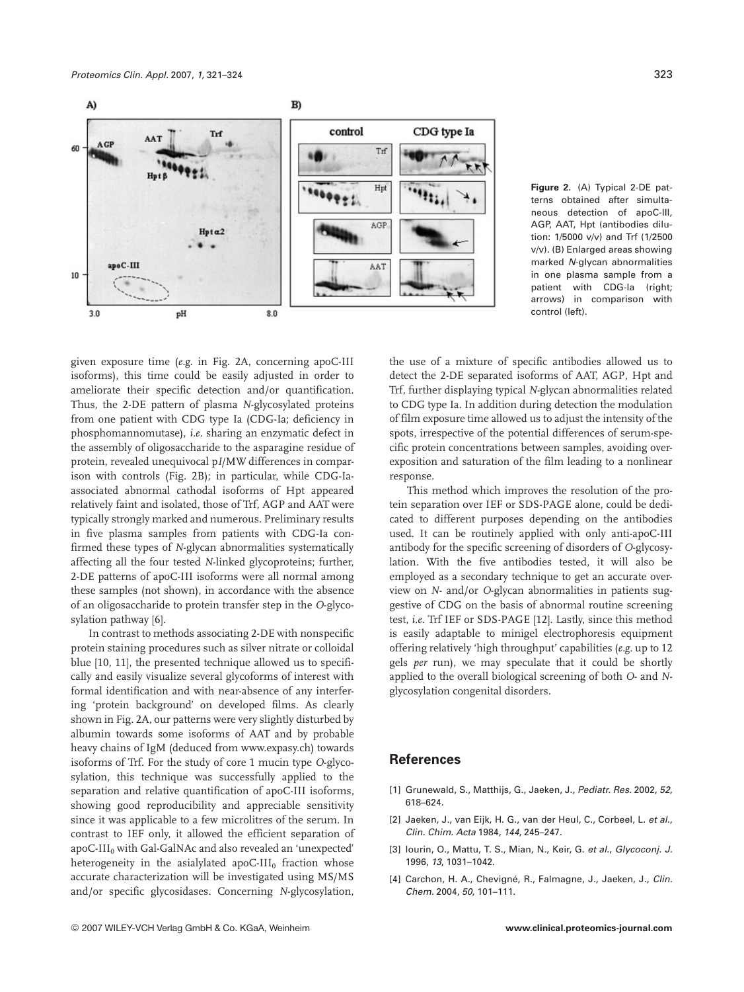

**Figure 2.** (A) Typical 2-DE patterns obtained after simultaneous detection of apoC-III, AGP, AAT, Hpt (antibodies dilution: 1/5000 v/v) and Trf (1/2500 v/v). (B) Enlarged areas showing marked N-glycan abnormalities in one plasma sample from a patient with CDG-Ia (right; arrows) in comparison with control (left).

given exposure time (*e.g.* in Fig. 2A, concerning apoC-III isoforms), this time could be easily adjusted in order to ameliorate their specific detection and/or quantification. Thus, the 2-DE pattern of plasma *N*-glycosylated proteins from one patient with CDG type Ia (CDG-Ia; deficiency in phosphomannomutase), *i.e.* sharing an enzymatic defect in the assembly of oligosaccharide to the asparagine residue of protein, revealed unequivocal p*I*/MW differences in comparison with controls (Fig. 2B); in particular, while CDG-Iaassociated abnormal cathodal isoforms of Hpt appeared relatively faint and isolated, those of Trf, AGP and AAT were typically strongly marked and numerous. Preliminary results in five plasma samples from patients with CDG-Ia confirmed these types of *N*-glycan abnormalities systematically affecting all the four tested *N*-linked glycoproteins; further, 2-DE patterns of apoC-III isoforms were all normal among these samples (not shown), in accordance with the absence of an oligosaccharide to protein transfer step in the *O*-glycosylation pathway [6].

In contrast to methods associating 2-DE with nonspecific protein staining procedures such as silver nitrate or colloidal blue [10, 11], the presented technique allowed us to specifically and easily visualize several glycoforms of interest with formal identification and with near-absence of any interfering 'protein background' on developed films. As clearly shown in Fig. 2A, our patterns were very slightly disturbed by albumin towards some isoforms of AAT and by probable heavy chains of IgM (deduced from www.expasy.ch) towards isoforms of Trf. For the study of core 1 mucin type *O*-glycosylation, this technique was successfully applied to the separation and relative quantification of apoC-III isoforms, showing good reproducibility and appreciable sensitivity since it was applicable to a few microlitres of the serum. In contrast to IEF only, it allowed the efficient separation of apoC-III $_0$  with Gal-GalNAc and also revealed an 'unexpected' heterogeneity in the asialylated apoC- $III<sub>0</sub>$  fraction whose accurate characterization will be investigated using MS/MS and/or specific glycosidases. Concerning *N*-glycosylation,

the use of a mixture of specific antibodies allowed us to detect the 2-DE separated isoforms of AAT, AGP, Hpt and Trf, further displaying typical *N*-glycan abnormalities related to CDG type Ia. In addition during detection the modulation of film exposure time allowed us to adjust the intensity of the spots, irrespective of the potential differences of serum-specific protein concentrations between samples, avoiding overexposition and saturation of the film leading to a nonlinear response.

This method which improves the resolution of the protein separation over IEF or SDS-PAGE alone, could be dedicated to different purposes depending on the antibodies used. It can be routinely applied with only anti-apoC-III antibody for the specific screening of disorders of *O*-glycosylation. With the five antibodies tested, it will also be employed as a secondary technique to get an accurate overview on *N*- and/or *O*-glycan abnormalities in patients suggestive of CDG on the basis of abnormal routine screening test, *i.e.* Trf IEF or SDS-PAGE [12]. Lastly, since this method is easily adaptable to minigel electrophoresis equipment offering relatively 'high throughput' capabilities (*e.g.* up to 12 gels *per* run), we may speculate that it could be shortly applied to the overall biological screening of both *O*- and *N*glycosylation congenital disorders.

## **References**

- [1] Grunewald, S., Matthijs, G., Jaeken, J., Pediatr. Res. 2002, 52, 618–624.
- [2] Jaeken, J., van Eijk, H. G., van der Heul, C., Corbeel, L. et al., Clin. Chim. Acta 1984, 144, 245–247.
- [3] Iourin, O., Mattu, T. S., Mian, N., Keir, G. et al., Glycoconj. J. 1996, 13, 1031–1042.
- [4] Carchon, H. A., Chevigné, R., Falmagne, J., Jaeken, J., Clin. Chem. 2004, 50, 101–111.